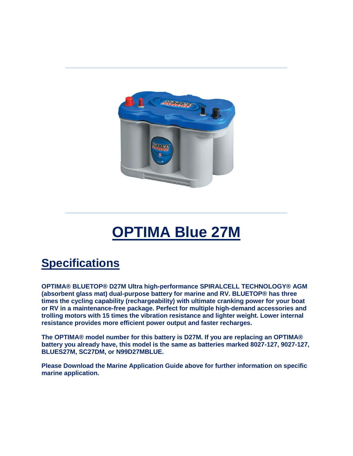

## **OPTIMA Blue 27M**

## **Specifications**

**OPTIMA® BLUETOP® D27M Ultra high-performance SPIRALCELL TECHNOLOGY® AGM (absorbent glass mat) dual-purpose battery for marine and RV. BLUETOP® has three times the cycling capability (rechargeability) with ultimate cranking power for your boat or RV in a maintenance-free package. Perfect for multiple high-demand accessories and trolling motors with 15 times the vibration resistance and lighter weight. Lower internal resistance provides more efficient power output and faster recharges.**

**The OPTIMA® model number for this battery is D27M. If you are replacing an OPTIMA® battery you already have, this model is the same as batteries marked 8027-127, 9027-127, BLUES27M, SC27DM, or N99D27MBLUE.**

**Please Download the Marine Application Guide above for further information on specific marine application.**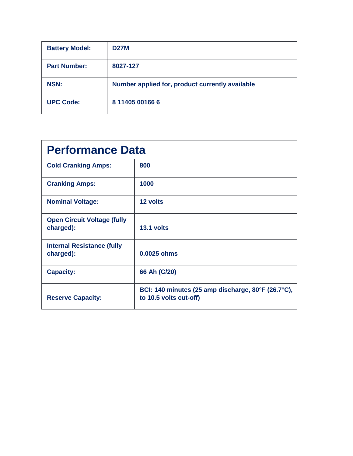| <b>Battery Model:</b> | <b>D27M</b>                                     |
|-----------------------|-------------------------------------------------|
| <b>Part Number:</b>   | 8027-127                                        |
| <b>NSN:</b>           | Number applied for, product currently available |
| <b>UPC Code:</b>      | 8 11405 00166 6                                 |

| <b>Performance Data</b>                         |                                                                              |  |
|-------------------------------------------------|------------------------------------------------------------------------------|--|
| <b>Cold Cranking Amps:</b>                      | 800                                                                          |  |
| <b>Cranking Amps:</b>                           | 1000                                                                         |  |
| <b>Nominal Voltage:</b>                         | 12 volts                                                                     |  |
| <b>Open Circuit Voltage (fully</b><br>charged): | 13.1 volts                                                                   |  |
| <b>Internal Resistance (fully</b><br>charged):  | 0.0025 ohms                                                                  |  |
| <b>Capacity:</b>                                | 66 Ah (C/20)                                                                 |  |
| <b>Reserve Capacity:</b>                        | BCI: 140 minutes (25 amp discharge, 80°F (26.7°C),<br>to 10.5 volts cut-off) |  |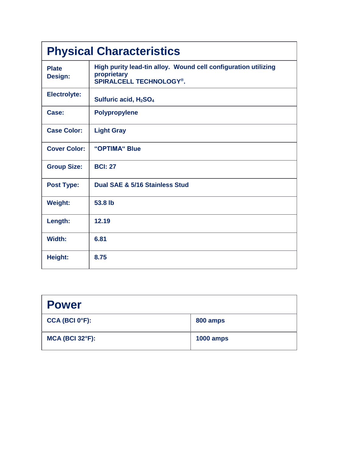| <b>Physical Characteristics</b> |                                                                                                                 |  |
|---------------------------------|-----------------------------------------------------------------------------------------------------------------|--|
| <b>Plate</b><br>Design:         | High purity lead-tin alloy. Wound cell configuration utilizing<br>proprietary<br><b>SPIRALCELL TECHNOLOGY®.</b> |  |
| <b>Electrolyte:</b>             | Sulfuric acid, H <sub>2</sub> SO <sub>4</sub>                                                                   |  |
| Case:                           | <b>Polypropylene</b>                                                                                            |  |
| <b>Case Color:</b>              | <b>Light Gray</b>                                                                                               |  |
| <b>Cover Color:</b>             | "OPTIMA" Blue                                                                                                   |  |
| <b>Group Size:</b>              | <b>BCI: 27</b>                                                                                                  |  |
| <b>Post Type:</b>               | Dual SAE & 5/16 Stainless Stud                                                                                  |  |
| <b>Weight:</b>                  | 53.8 lb                                                                                                         |  |
| Length:                         | 12.19                                                                                                           |  |
| Width:                          | 6.81                                                                                                            |  |
| Height:                         | 8.75                                                                                                            |  |

| <b>Power</b>                |                  |
|-----------------------------|------------------|
| $CCA$ (BCI 0°F):            | 800 amps         |
| $MCA$ (BCI 32 $\degree$ F): | <b>1000 amps</b> |